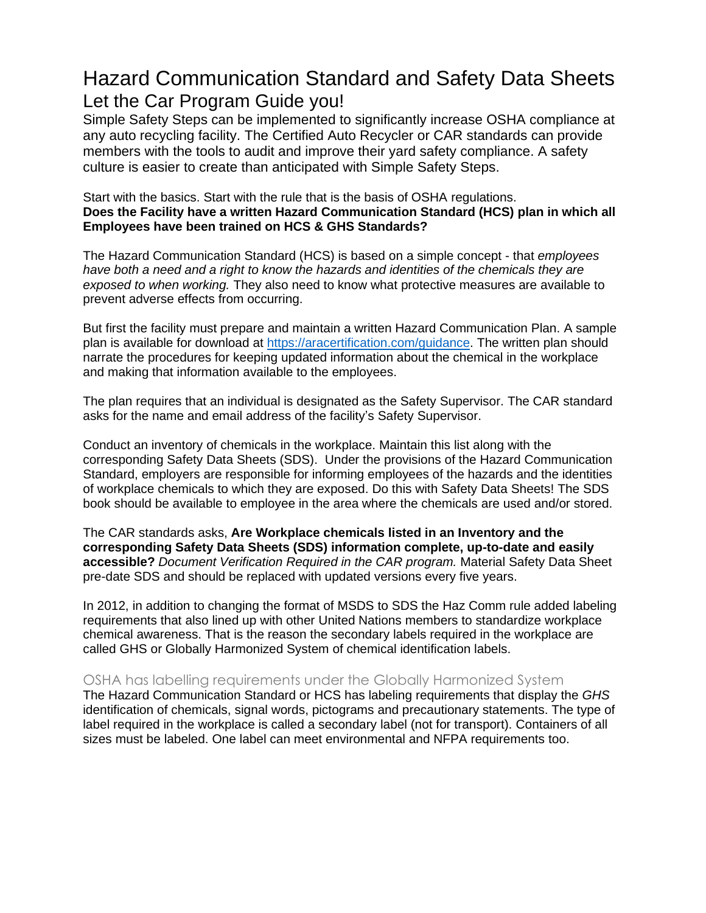## Hazard Communication Standard and Safety Data Sheets Let the Car Program Guide you!

Simple Safety Steps can be implemented to significantly increase OSHA compliance at any auto recycling facility. The Certified Auto Recycler or CAR standards can provide members with the tools to audit and improve their yard safety compliance. A safety culture is easier to create than anticipated with Simple Safety Steps.

Start with the basics. Start with the rule that is the basis of OSHA regulations. **Does the Facility have a written Hazard Communication Standard (HCS) plan in which all Employees have been trained on HCS & GHS Standards?**

The Hazard Communication Standard (HCS) is based on a simple concept - that *employees have both a need and a right to know the hazards and identities of the chemicals they are exposed to when working.* They also need to know what protective measures are available to prevent adverse effects from occurring.

But first the facility must prepare and maintain a written Hazard Communication Plan. A sample plan is available for download at [https://aracertification.com/guidance.](https://aracertification.com/guidance) The written plan should narrate the procedures for keeping updated information about the chemical in the workplace and making that information available to the employees.

The plan requires that an individual is designated as the Safety Supervisor. The CAR standard asks for the name and email address of the facility's Safety Supervisor.

Conduct an inventory of chemicals in the workplace. Maintain this list along with the corresponding Safety Data Sheets (SDS). Under the provisions of the Hazard Communication Standard, employers are responsible for informing employees of the hazards and the identities of workplace chemicals to which they are exposed. Do this with Safety Data Sheets! The SDS book should be available to employee in the area where the chemicals are used and/or stored.

The CAR standards asks, **Are Workplace chemicals listed in an Inventory and the corresponding Safety Data Sheets (SDS) information complete, up-to-date and easily accessible?** *Document Verification Required in the CAR program.* Material Safety Data Sheet pre-date SDS and should be replaced with updated versions every five years.

In 2012, in addition to changing the format of MSDS to SDS the Haz Comm rule added labeling requirements that also lined up with other United Nations members to standardize workplace chemical awareness. That is the reason the secondary labels required in the workplace are called GHS or Globally Harmonized System of chemical identification labels.

## OSHA has labelling requirements under the Globally Harmonized System

The Hazard Communication Standard or HCS has labeling requirements that display the *GHS*  identification of chemicals, signal words, pictograms and precautionary statements. The type of label required in the workplace is called a secondary label (not for transport). Containers of all sizes must be labeled. One label can meet environmental and NFPA requirements too.